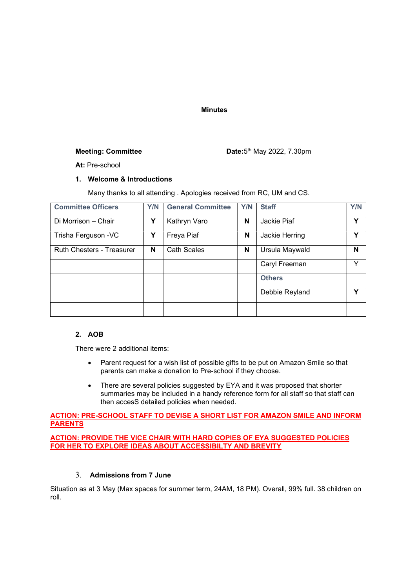#### Minutes

#### Meeting: Committee

Date: 5<sup>th</sup> May 2022, 7.30pm

At: Pre-school

#### 1. Welcome & Introductions

Many thanks to all attending . Apologies received from RC, UM and CS.

| <b>Committee Officers</b>        | Y/N | <b>General Committee</b> | Y/N | <b>Staff</b>   | Y/N |
|----------------------------------|-----|--------------------------|-----|----------------|-----|
| Di Morrison - Chair              | Υ   | Kathryn Varo             | N   | Jackie Piaf    | Υ   |
| Trisha Ferguson - VC             | Υ   | Freya Piaf               | N   | Jackie Herring | ν   |
| <b>Ruth Chesters - Treasurer</b> | N   | <b>Cath Scales</b>       | N   | Ursula Maywald | N   |
|                                  |     |                          |     | Caryl Freeman  | v   |
|                                  |     |                          |     | <b>Others</b>  |     |
|                                  |     |                          |     | Debbie Reyland | Υ   |
|                                  |     |                          |     |                |     |

# 2. AOB

There were 2 additional items:

- Parent request for a wish list of possible gifts to be put on Amazon Smile so that parents can make a donation to Pre-school if they choose.
- There are several policies suggested by EYA and it was proposed that shorter summaries may be included in a handy reference form for all staff so that staff can then accesS detailed policies when needed.

#### ACTION: PRE-SCHOOL STAFF TO DEVISE A SHORT LIST FOR AMAZON SMILE AND INFORM **PARENTS**

ACTION: PROVIDE THE VICE CHAIR WITH HARD COPIES OF EYA SUGGESTED POLICIES FOR HER TO EXPLORE IDEAS ABOUT ACCESSIBILTY AND BREVITY

### 3. Admissions from 7 June

Situation as at 3 May (Max spaces for summer term, 24AM, 18 PM). Overall, 99% full. 38 children on roll.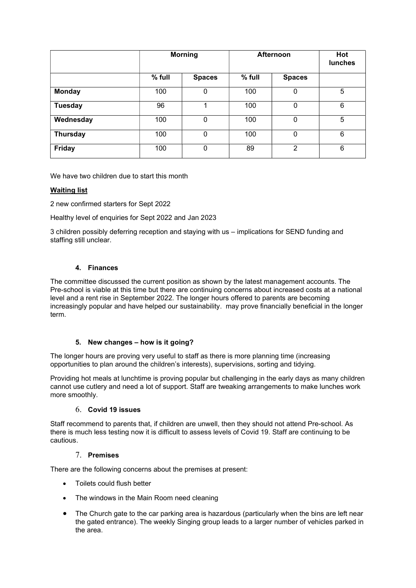|                 |        | <b>Morning</b> | Afternoon | Hot<br><b>lunches</b> |   |
|-----------------|--------|----------------|-----------|-----------------------|---|
|                 | % full | <b>Spaces</b>  | $%$ full  | <b>Spaces</b>         |   |
| <b>Monday</b>   | 100    | 0              | 100       | 0                     | 5 |
| <b>Tuesday</b>  | 96     |                | 100       | 0                     | 6 |
| Wednesday       | 100    | 0              | 100       | 0                     | 5 |
| <b>Thursday</b> | 100    | $\Omega$       | 100       | 0                     | 6 |
| <b>Friday</b>   | 100    | 0              | 89        | $\overline{2}$        | 6 |

We have two children due to start this month

## Waiting list

2 new confirmed starters for Sept 2022

Healthy level of enquiries for Sept 2022 and Jan 2023

3 children possibly deferring reception and staying with us – implications for SEND funding and staffing still unclear.

## 4. Finances

The committee discussed the current position as shown by the latest management accounts. The Pre-school is viable at this time but there are continuing concerns about increased costs at a national level and a rent rise in September 2022. The longer hours offered to parents are becoming increasingly popular and have helped our sustainability. may prove financially beneficial in the longer term.

## 5. New changes – how is it going?

The longer hours are proving very useful to staff as there is more planning time (increasing opportunities to plan around the children's interests), supervisions, sorting and tidying.

Providing hot meals at lunchtime is proving popular but challenging in the early days as many children cannot use cutlery and need a lot of support. Staff are tweaking arrangements to make lunches work more smoothly.

#### 6. Covid 19 issues

Staff recommend to parents that, if children are unwell, then they should not attend Pre-school. As there is much less testing now it is difficult to assess levels of Covid 19. Staff are continuing to be cautious.

## 7. Premises

There are the following concerns about the premises at present:

- Toilets could flush better
- The windows in the Main Room need cleaning
- The Church gate to the car parking area is hazardous (particularly when the bins are left near the gated entrance). The weekly Singing group leads to a larger number of vehicles parked in the area.